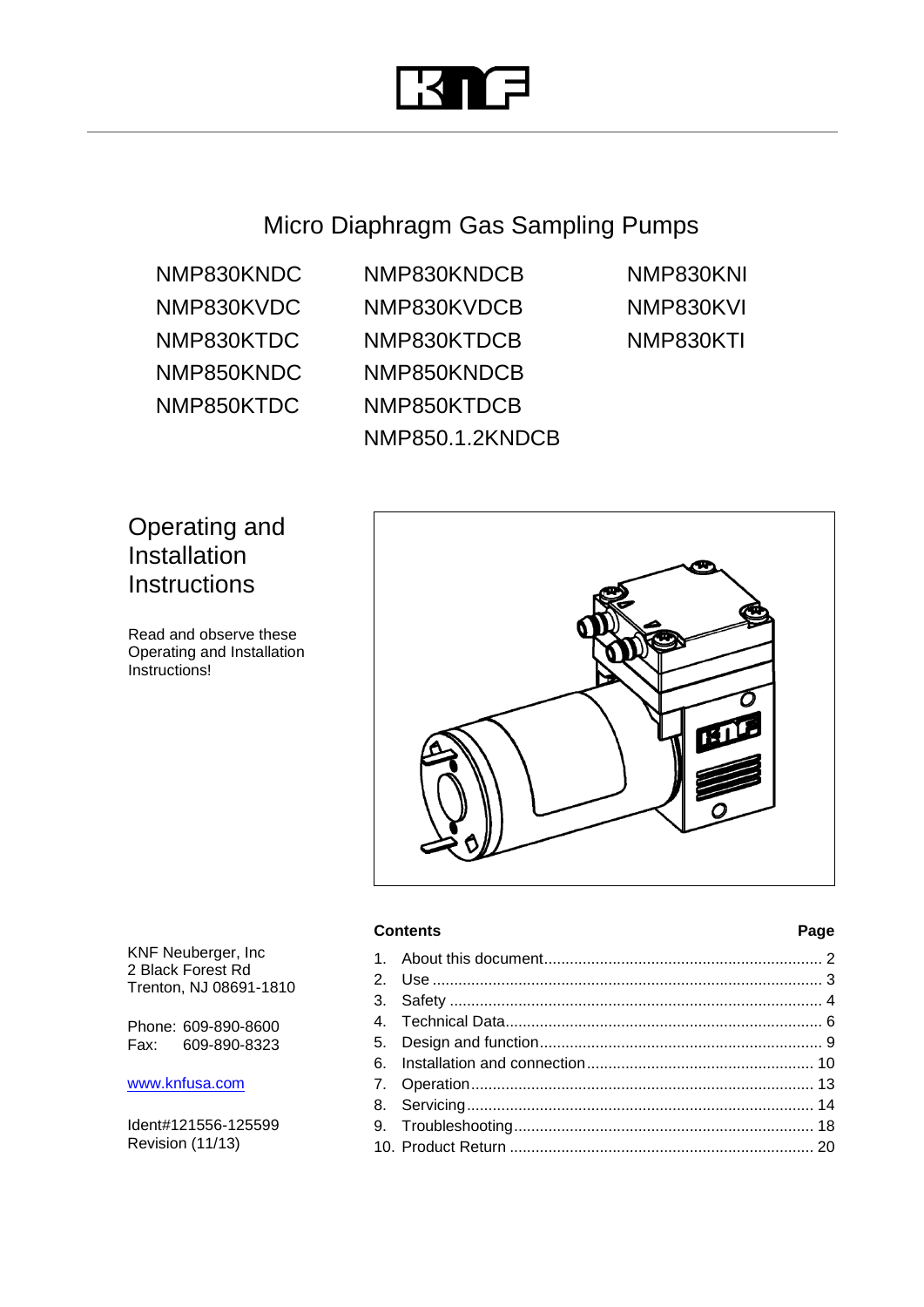

Micro Diaphragm Gas Sampling Pumps

NMP830KNDC NMP830KVDC NMP830KTDC NMP850KNDC NMP850KTDC

NMP830KNDCB NMP830KVDCB NMP830KTDCB NMP850KNDCB NMP850KTDCB NMP850.1.2KNDCB NMP830KNI NMP830KVI NMP830KTI

## Operating and Installation **Instructions**

Read and observe these Operating and Installation Instructions!



## **Contents Page**

KNF Neuberger, Inc 2 Black Forest Rd Trenton, NJ 08691-1810

Phone: 609-890-8600 Fax: 609-890-8323

### [www.knfusa.com](http://www.knfusa.com/)

Ident#121556-125599 Revision (11/13)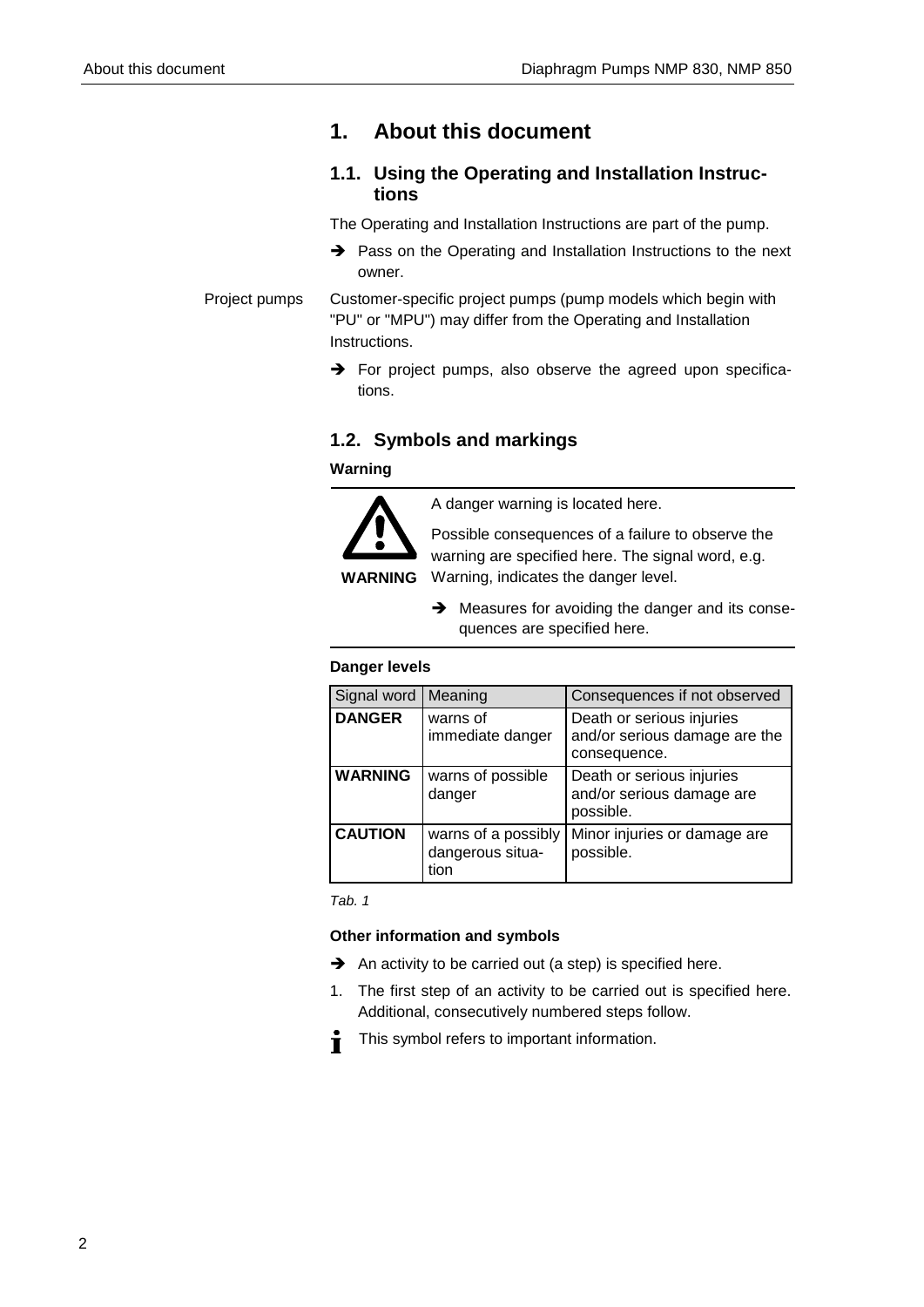## <span id="page-1-0"></span>**1. About this document**

## **1.1. Using the Operating and Installation Instructions**

The Operating and Installation Instructions are part of the pump.

 $\rightarrow$  Pass on the Operating and Installation Instructions to the next owner.

Project pumps

Customer-specific project pumps (pump models which begin with "PU" or "MPU") may differ from the Operating and Installation Instructions.

 $\rightarrow$  For project pumps, also observe the agreed upon specifications.

## **1.2. Symbols and markings**

## **Warning**



A danger warning is located here.

Possible consequences of a failure to observe the warning are specified here. The signal word, e.g. Warning, indicates the danger level.

- **WARNING**
	- $\rightarrow$  Measures for avoiding the danger and its consequences are specified here.

## **Danger levels**

| Signal word    | Meaning                                         | Consequences if not observed                                               |
|----------------|-------------------------------------------------|----------------------------------------------------------------------------|
| <b>DANGER</b>  | warns of<br>immediate danger                    | Death or serious injuries<br>and/or serious damage are the<br>consequence. |
| <b>WARNING</b> | warns of possible<br>danger                     | Death or serious injuries<br>and/or serious damage are<br>possible.        |
| <b>CAUTION</b> | warns of a possibly<br>dangerous situa-<br>tion | Minor injuries or damage are<br>possible.                                  |

*Tab. 1*

## **Other information and symbols**

- $\rightarrow$  An activity to be carried out (a step) is specified here.
- 1. The first step of an activity to be carried out is specified here. Additional, consecutively numbered steps follow.
- Ť This symbol refers to important information.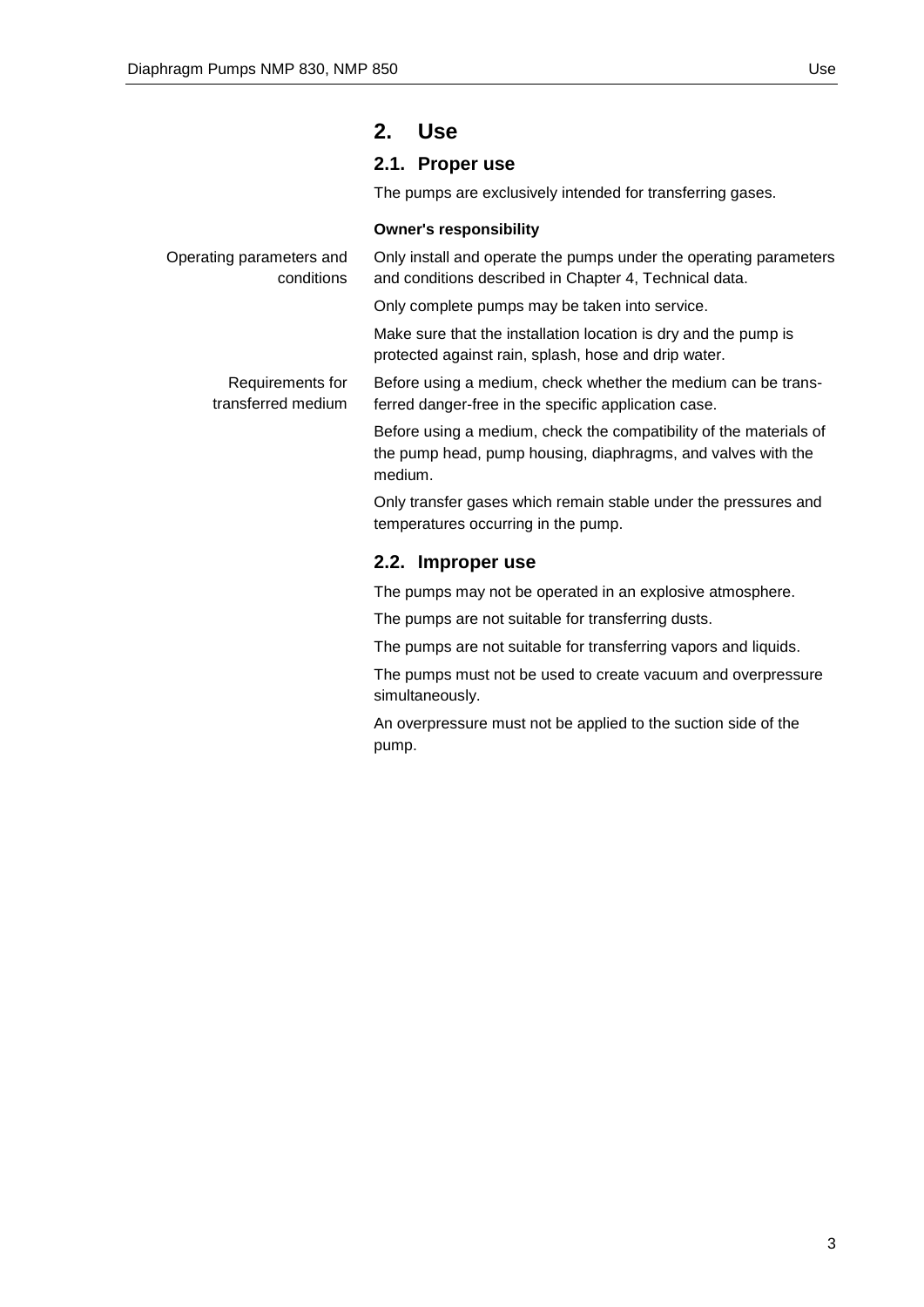## <span id="page-2-0"></span>**2. Use**

## **2.1. Proper use**

The pumps are exclusively intended for transferring gases.

## **Owner's responsibility**

| Operating parameters and<br>conditions | Only install and operate the pumps under the operating parameters<br>and conditions described in Chapter 4, Technical data.                   |  |
|----------------------------------------|-----------------------------------------------------------------------------------------------------------------------------------------------|--|
|                                        | Only complete pumps may be taken into service.                                                                                                |  |
|                                        | Make sure that the installation location is dry and the pump is<br>protected against rain, splash, hose and drip water.                       |  |
| Requirements for<br>transferred medium | Before using a medium, check whether the medium can be trans-<br>ferred danger-free in the specific application case.                         |  |
|                                        | Before using a medium, check the compatibility of the materials of<br>the pump head, pump housing, diaphragms, and valves with the<br>medium. |  |
|                                        | Only transfer gases which remain stable under the pressures and<br>temperatures occurring in the pump.                                        |  |
|                                        | 2.2. Improper use                                                                                                                             |  |
|                                        | The pumps may not be operated in an explosive atmosphere.                                                                                     |  |
|                                        | The pumps are not suitable for transferring dusts.                                                                                            |  |
|                                        | The pumps are not suitable for transferring vapors and liquids.                                                                               |  |

The pumps must not be used to create vacuum and overpressure simultaneously.

An overpressure must not be applied to the suction side of the pump.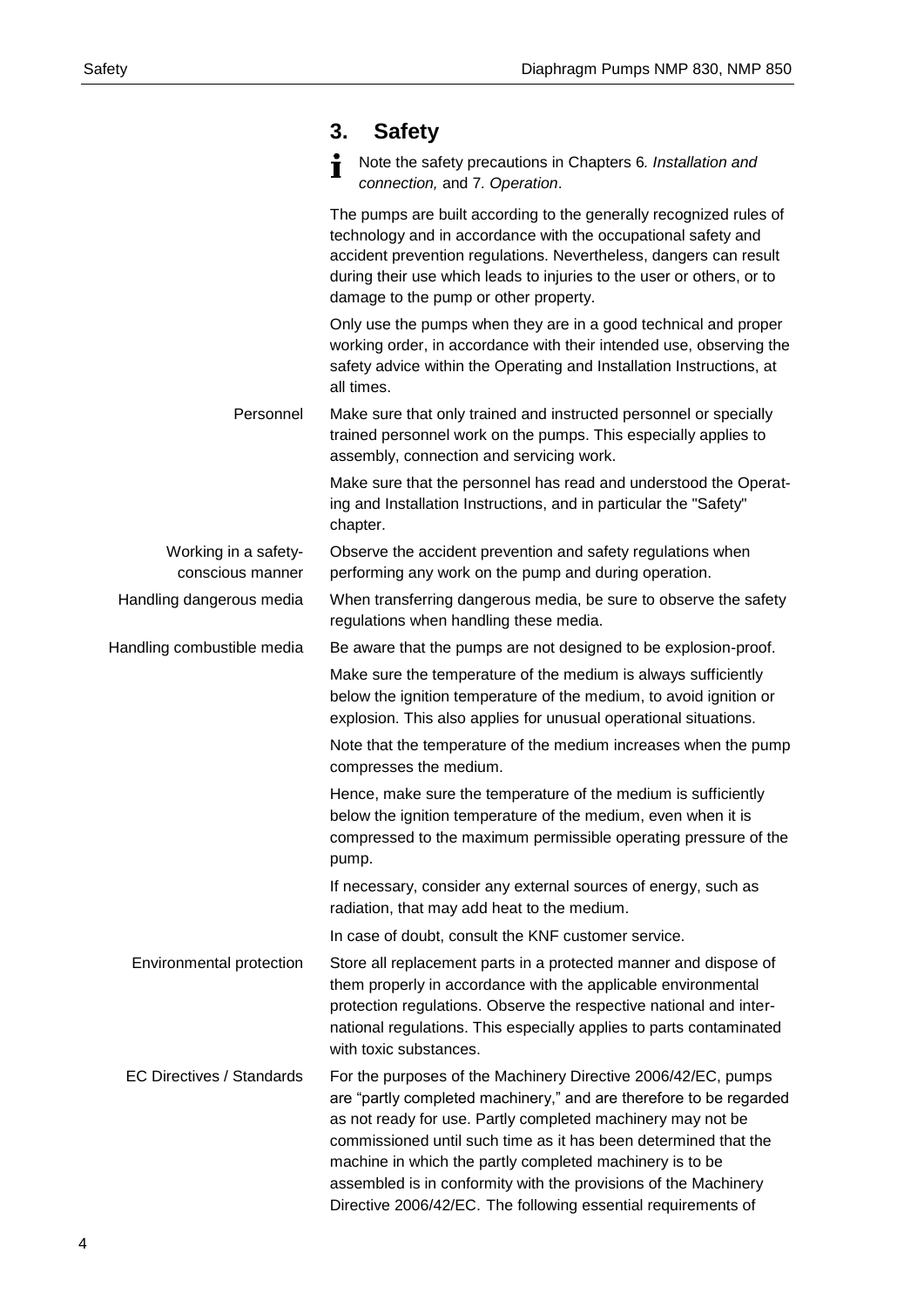<span id="page-3-0"></span>

|                                          | <b>Safety</b><br>3.                                                                                                                                                                                                                                                                                                                                                                                                                                                   |
|------------------------------------------|-----------------------------------------------------------------------------------------------------------------------------------------------------------------------------------------------------------------------------------------------------------------------------------------------------------------------------------------------------------------------------------------------------------------------------------------------------------------------|
|                                          | Note the safety precautions in Chapters 6. Installation and<br>connection, and 7. Operation.                                                                                                                                                                                                                                                                                                                                                                          |
|                                          | The pumps are built according to the generally recognized rules of<br>technology and in accordance with the occupational safety and<br>accident prevention regulations. Nevertheless, dangers can result<br>during their use which leads to injuries to the user or others, or to<br>damage to the pump or other property.                                                                                                                                            |
|                                          | Only use the pumps when they are in a good technical and proper<br>working order, in accordance with their intended use, observing the<br>safety advice within the Operating and Installation Instructions, at<br>all times.                                                                                                                                                                                                                                          |
| Personnel                                | Make sure that only trained and instructed personnel or specially<br>trained personnel work on the pumps. This especially applies to<br>assembly, connection and servicing work.                                                                                                                                                                                                                                                                                      |
|                                          | Make sure that the personnel has read and understood the Operat-<br>ing and Installation Instructions, and in particular the "Safety"<br>chapter.                                                                                                                                                                                                                                                                                                                     |
| Working in a safety-<br>conscious manner | Observe the accident prevention and safety regulations when<br>performing any work on the pump and during operation.                                                                                                                                                                                                                                                                                                                                                  |
| Handling dangerous media                 | When transferring dangerous media, be sure to observe the safety<br>regulations when handling these media.                                                                                                                                                                                                                                                                                                                                                            |
| Handling combustible media               | Be aware that the pumps are not designed to be explosion-proof.                                                                                                                                                                                                                                                                                                                                                                                                       |
|                                          | Make sure the temperature of the medium is always sufficiently<br>below the ignition temperature of the medium, to avoid ignition or<br>explosion. This also applies for unusual operational situations.                                                                                                                                                                                                                                                              |
|                                          | Note that the temperature of the medium increases when the pump<br>compresses the medium.                                                                                                                                                                                                                                                                                                                                                                             |
|                                          | Hence, make sure the temperature of the medium is sufficiently<br>below the ignition temperature of the medium, even when it is<br>compressed to the maximum permissible operating pressure of the<br>pump.                                                                                                                                                                                                                                                           |
|                                          | If necessary, consider any external sources of energy, such as<br>radiation, that may add heat to the medium.                                                                                                                                                                                                                                                                                                                                                         |
|                                          | In case of doubt, consult the KNF customer service.                                                                                                                                                                                                                                                                                                                                                                                                                   |
| Environmental protection                 | Store all replacement parts in a protected manner and dispose of<br>them properly in accordance with the applicable environmental<br>protection regulations. Observe the respective national and inter-<br>national regulations. This especially applies to parts contaminated<br>with toxic substances.                                                                                                                                                              |
| <b>EC Directives / Standards</b>         | For the purposes of the Machinery Directive 2006/42/EC, pumps<br>are "partly completed machinery," and are therefore to be regarded<br>as not ready for use. Partly completed machinery may not be<br>commissioned until such time as it has been determined that the<br>machine in which the partly completed machinery is to be<br>assembled is in conformity with the provisions of the Machinery<br>Directive 2006/42/EC. The following essential requirements of |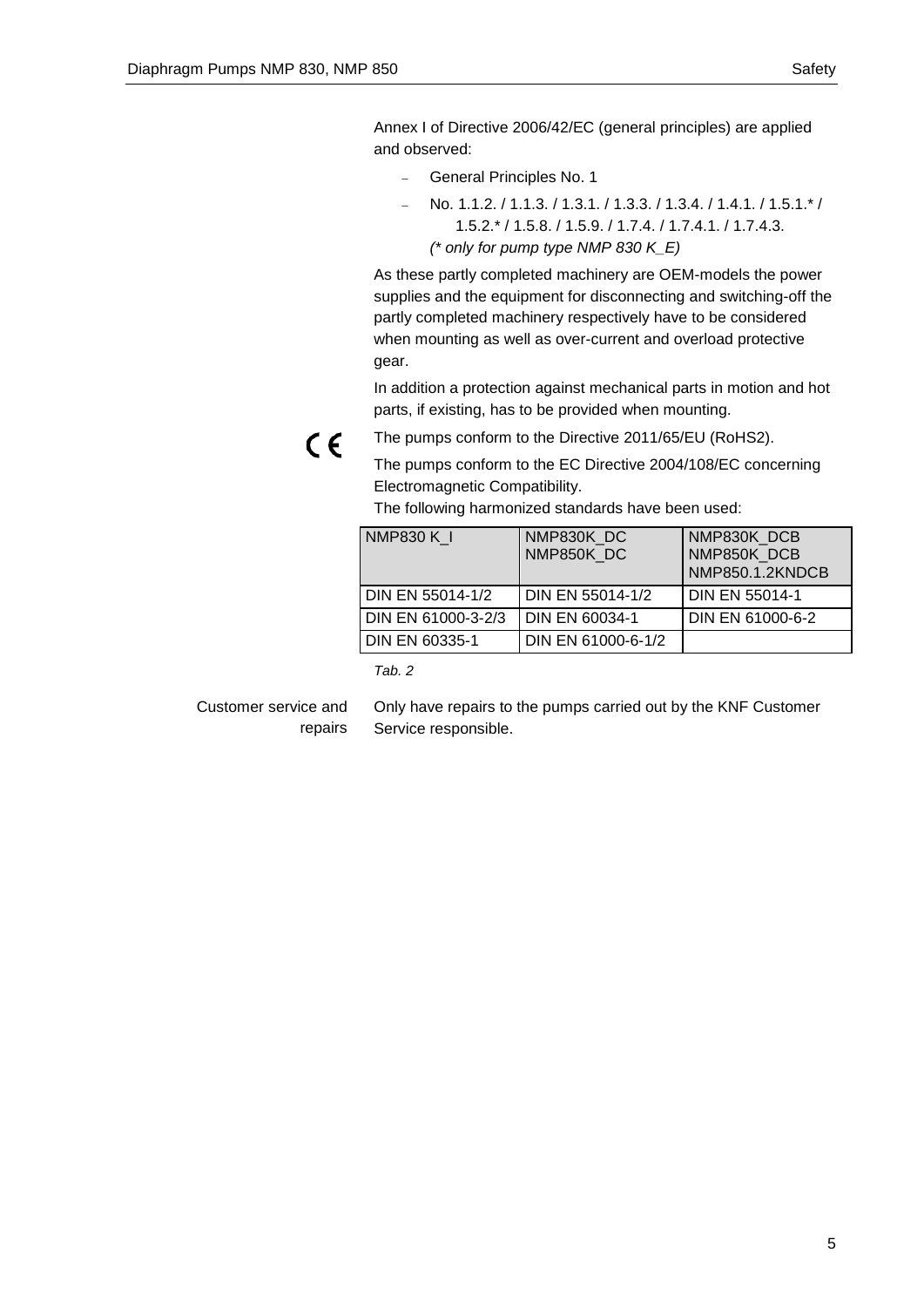Annex I of Directive 2006/42/EC (general principles) are applied and observed:

- General Principles No. 1
- No. 1.1.2. / 1.1.3. / 1.3.1. / 1.3.3. / 1.3.4. / 1.4.1. / 1.5.1.\* / 1.5.2.\* / 1.5.8. / 1.5.9. / 1.7.4. / 1.7.4.1. / 1.7.4.3. *(\* only for pump type NMP 830 K\_E)*

As these partly completed machinery are OEM-models the power supplies and the equipment for disconnecting and switching-off the partly completed machinery respectively have to be considered when mounting as well as over-current and overload protective gear.

In addition a protection against mechanical parts in motion and hot parts, if existing, has to be provided when mounting.

 $C \in$ 

The pumps conform to the Directive 2011/65/EU (RoHS2).

The pumps conform to the EC Directive 2004/108/EC concerning Electromagnetic Compatibility.

The following harmonized standards have been used:

| NMP830 K 1            | NMP830K DC<br>NMP850K DC | NMP830K DCB<br>NMP850K DCB<br>NMP850.1.2KNDCB |
|-----------------------|--------------------------|-----------------------------------------------|
| DIN EN 55014-1/2      | DIN EN 55014-1/2         | <b>DIN EN 55014-1</b>                         |
| DIN EN 61000-3-2/3    | DIN EN 60034-1           | DIN EN 61000-6-2                              |
| <b>DIN EN 60335-1</b> | DIN EN 61000-6-1/2       |                                               |

*Tab. 2*

Only have repairs to the pumps carried out by the KNF Customer Service responsible. Customer service and repairs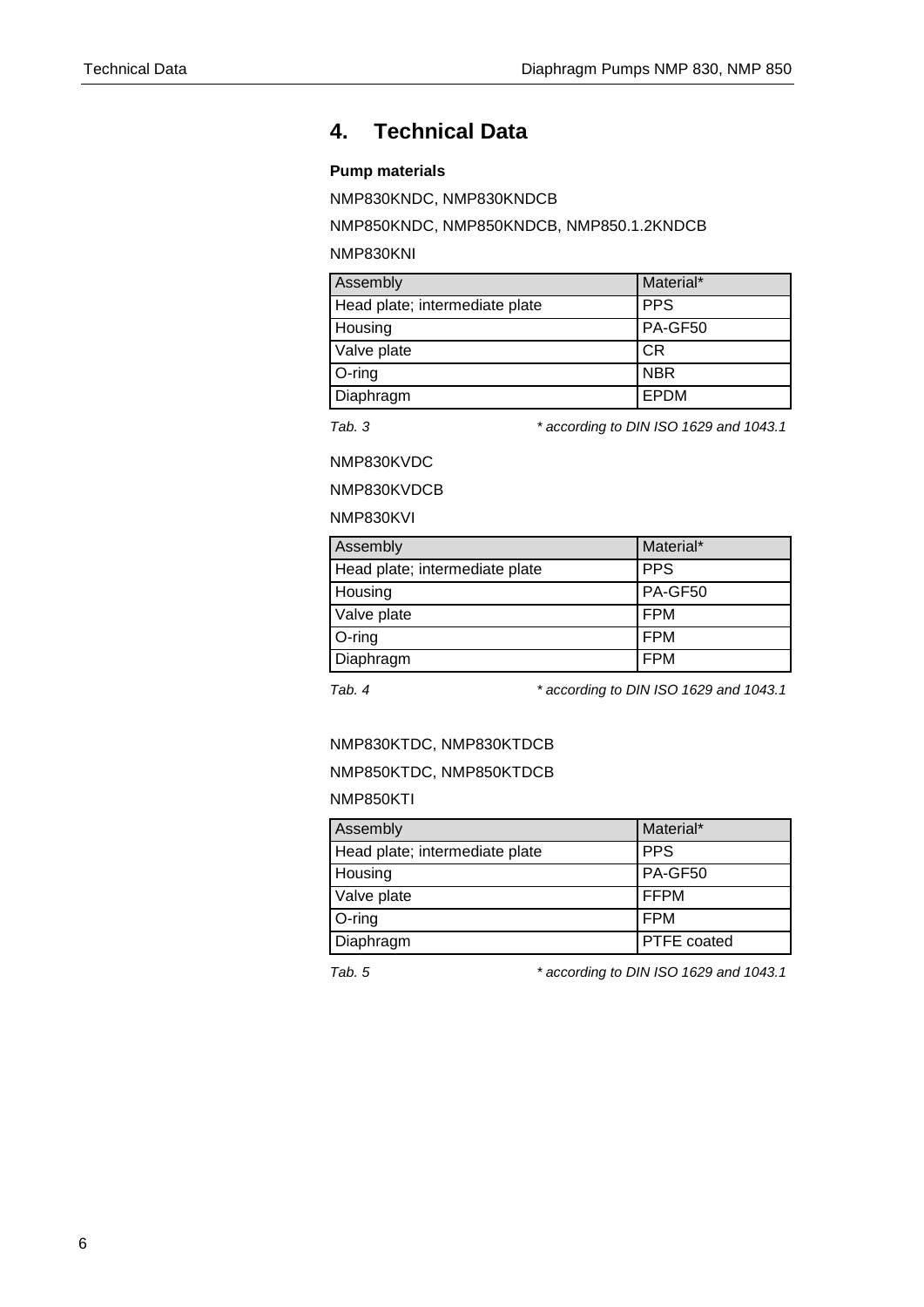## <span id="page-5-0"></span>**4. Technical Data**

## **Pump materials**

NMP830KNDC, NMP830KNDCB

NMP850KNDC, NMP850KNDCB, NMP850.1.2KNDCB

NMP830KNI

| Assembly                       | Material*  |
|--------------------------------|------------|
| Head plate; intermediate plate | <b>PPS</b> |
| Housing                        | PA-GF50    |
| Valve plate                    | CR         |
| $O$ -ring                      | <b>NBR</b> |
| Diaphragm                      | EPDM       |

*Tab. 3 \* according to DIN ISO 1629 and 1043.1*

NMP830KVDC

NMP830KVDCB

## NMP830KVI

| Assembly                       | Material*  |
|--------------------------------|------------|
| Head plate; intermediate plate | <b>PPS</b> |
| Housing                        | PA-GF50    |
| Valve plate                    | <b>FPM</b> |
| O-ring                         | FPM        |
| Diaphragm                      | <b>FPM</b> |

*Tab. 4 \* according to DIN ISO 1629 and 1043.1*

## NMP830KTDC, NMP830KTDCB

### NMP850KTDC, NMP850KTDCB

### NMP850KTI

| Assembly                       | Material*          |
|--------------------------------|--------------------|
| Head plate; intermediate plate | <b>PPS</b>         |
| Housing                        | PA-GF50            |
| Valve plate                    | <b>FFPM</b>        |
| O-ring                         | l FPM              |
| Diaphragm                      | <b>PTFE</b> coated |

*Tab. 5 \* according to DIN ISO 1629 and 1043.1*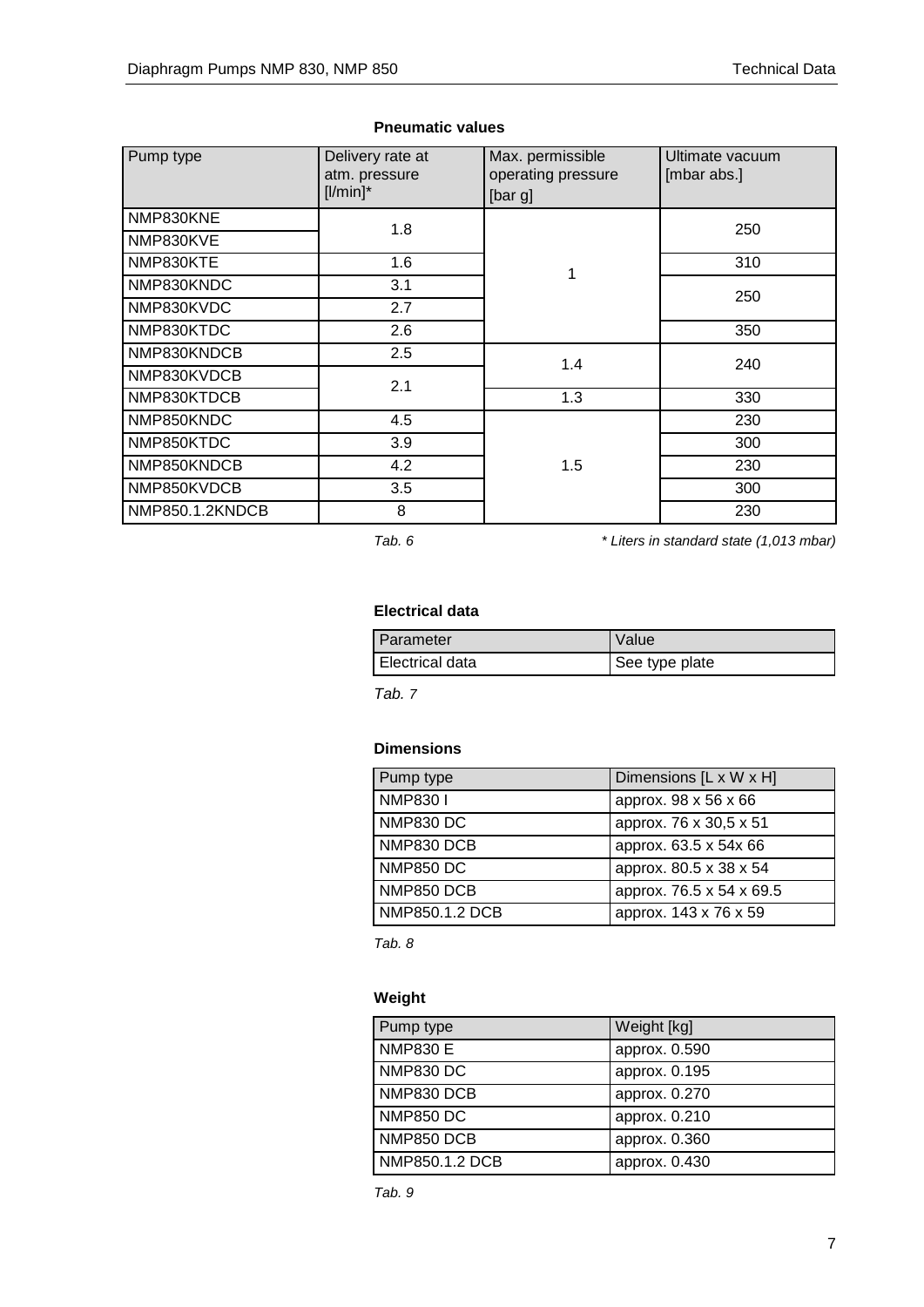| Pump type       | Delivery rate at<br>atm. pressure<br>$[$ l/min $]$ * | Max. permissible<br>operating pressure<br>[bar g] | Ultimate vacuum<br>[mbar abs.] |
|-----------------|------------------------------------------------------|---------------------------------------------------|--------------------------------|
| NMP830KNE       | 1.8                                                  |                                                   | 250                            |
| NMP830KVE       |                                                      |                                                   |                                |
| NMP830KTE       | 1.6                                                  | 1                                                 | 310                            |
| NMP830KNDC      | 3.1                                                  |                                                   | 250                            |
| NMP830KVDC      | 2.7                                                  |                                                   |                                |
| NMP830KTDC      | 2.6                                                  |                                                   | 350                            |
| NMP830KNDCB     | 2.5                                                  | 1.4                                               | 240                            |
| NMP830KVDCB     | 2.1                                                  |                                                   |                                |
| NMP830KTDCB     |                                                      | 1.3                                               | 330                            |
| NMP850KNDC      | 4.5                                                  |                                                   | 230                            |
| NMP850KTDC      | 3.9                                                  |                                                   | 300                            |
| NMP850KNDCB     | 4.2                                                  | 1.5                                               | 230                            |
| NMP850KVDCB     | 3.5                                                  |                                                   | 300                            |
| NMP850.1.2KNDCB | 8                                                    |                                                   | 230                            |

### **Pneumatic values**

*Tab. 6 \* Liters in standard state (1,013 mbar)*

## **Electrical data**

| Parameter       | Value          |
|-----------------|----------------|
| Electrical data | See type plate |

*Tab. 7*

## **Dimensions**

| Pump type        | Dimensions [L x W x H]   |
|------------------|--------------------------|
| <b>NMP8301</b>   | approx. 98 x 56 x 66     |
| <b>NMP830 DC</b> | approx. 76 x 30,5 x 51   |
| NMP830 DCB       | approx. 63.5 x 54x 66    |
| <b>NMP850 DC</b> | approx. 80.5 x 38 x 54   |
| NMP850 DCB       | approx. 76.5 x 54 x 69.5 |
| NMP850.1.2 DCB   | approx. 143 x 76 x 59    |

*Tab. 8*

## **Weight**

| Pump type        | Weight [kg]   |
|------------------|---------------|
| <b>NMP830 E</b>  | approx. 0.590 |
| <b>NMP830 DC</b> | approx. 0.195 |
| NMP830 DCB       | approx. 0.270 |
| <b>NMP850 DC</b> | approx. 0.210 |
| NMP850 DCB       | approx. 0.360 |
| NMP850.1.2 DCB   | approx. 0.430 |

*Tab. 9*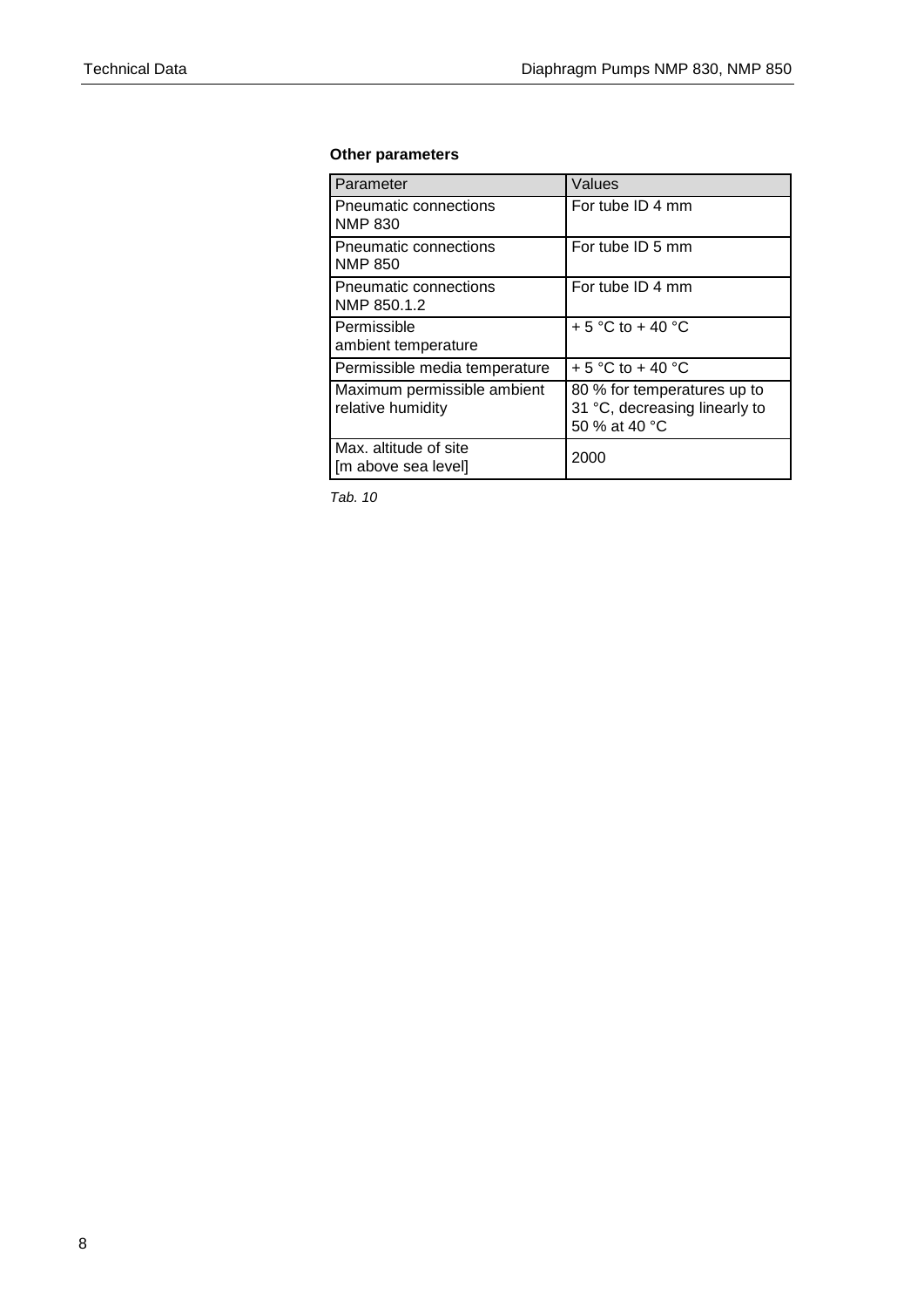## **Other parameters**

| Parameter                                        | Values                                                                        |
|--------------------------------------------------|-------------------------------------------------------------------------------|
| Pneumatic connections<br><b>NMP 830</b>          | For tube ID 4 mm                                                              |
| Pneumatic connections<br><b>NMP 850</b>          | For tube ID 5 mm                                                              |
| Pneumatic connections<br>NMP 850.1.2             | For tube ID 4 mm                                                              |
| Permissible<br>ambient temperature               | $+5$ °C to $+40$ °C                                                           |
| Permissible media temperature                    | + 5 °C to + 40 °C                                                             |
| Maximum permissible ambient<br>relative humidity | 80 % for temperatures up to<br>31 °C, decreasing linearly to<br>50 % at 40 °C |
| Max. altitude of site<br>[m above sea level]     | 2000                                                                          |

*Tab. 10*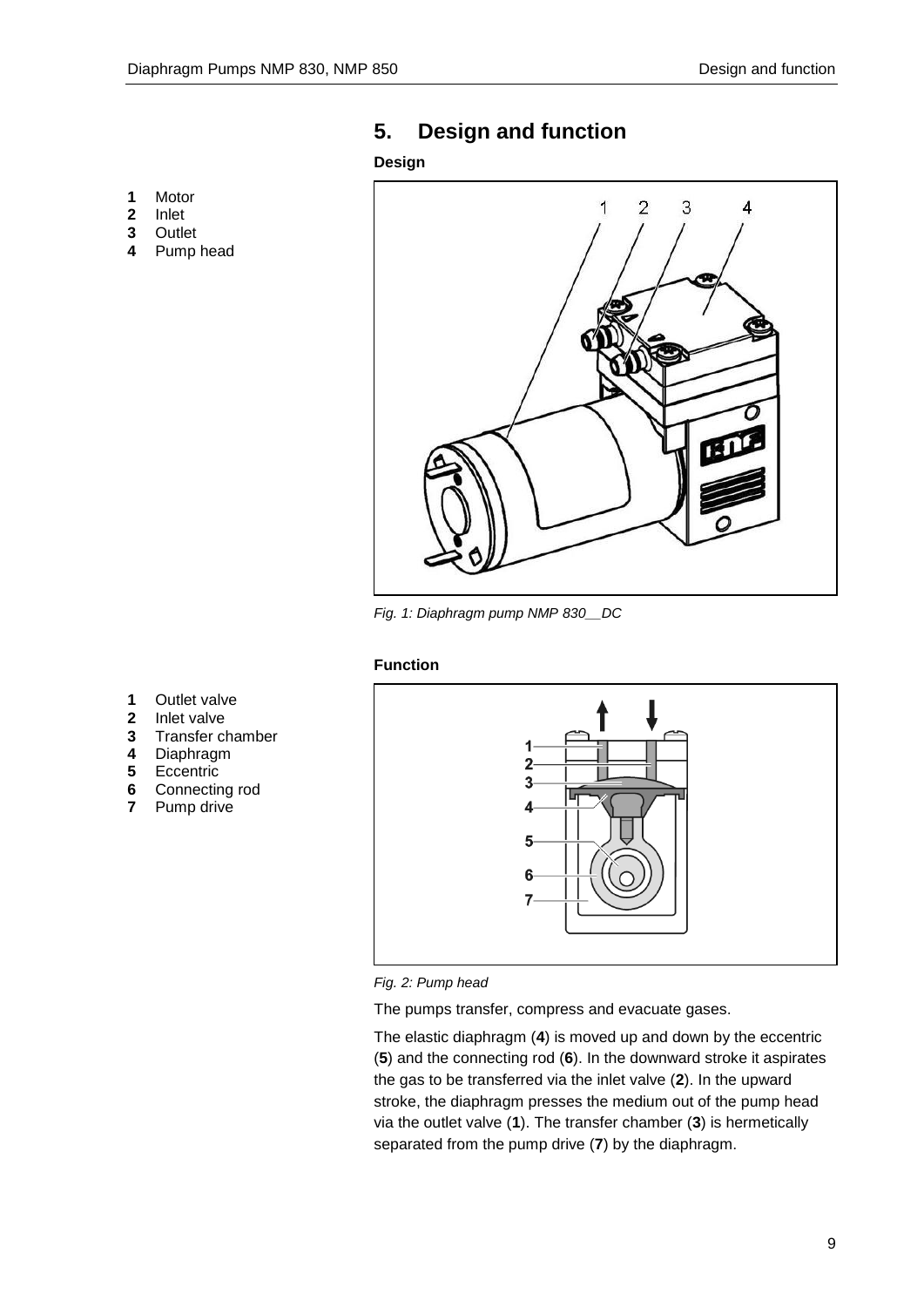## <span id="page-8-0"></span>**5. Design and function**

## **Design**

- **1** Motor
- **2** Inlet
- **3** Outlet
- **4** Pump head



*Fig. 1: Diaphragm pump NMP 830\_\_DC*

## **Function**

- **1** Outlet valve
- **2** Inlet valve
- **3** Transfer chamber
- **4** Diaphragm
- **5** Eccentric
- **6** Connecting rod<br>**7** Pump drive
- **7** Pump drive





The pumps transfer, compress and evacuate gases.

The elastic diaphragm (**4**) is moved up and down by the eccentric (**5**) and the connecting rod (**6**). In the downward stroke it aspirates the gas to be transferred via the inlet valve (**2**). In the upward stroke, the diaphragm presses the medium out of the pump head via the outlet valve (**1**). The transfer chamber (**3**) is hermetically separated from the pump drive (**7**) by the diaphragm.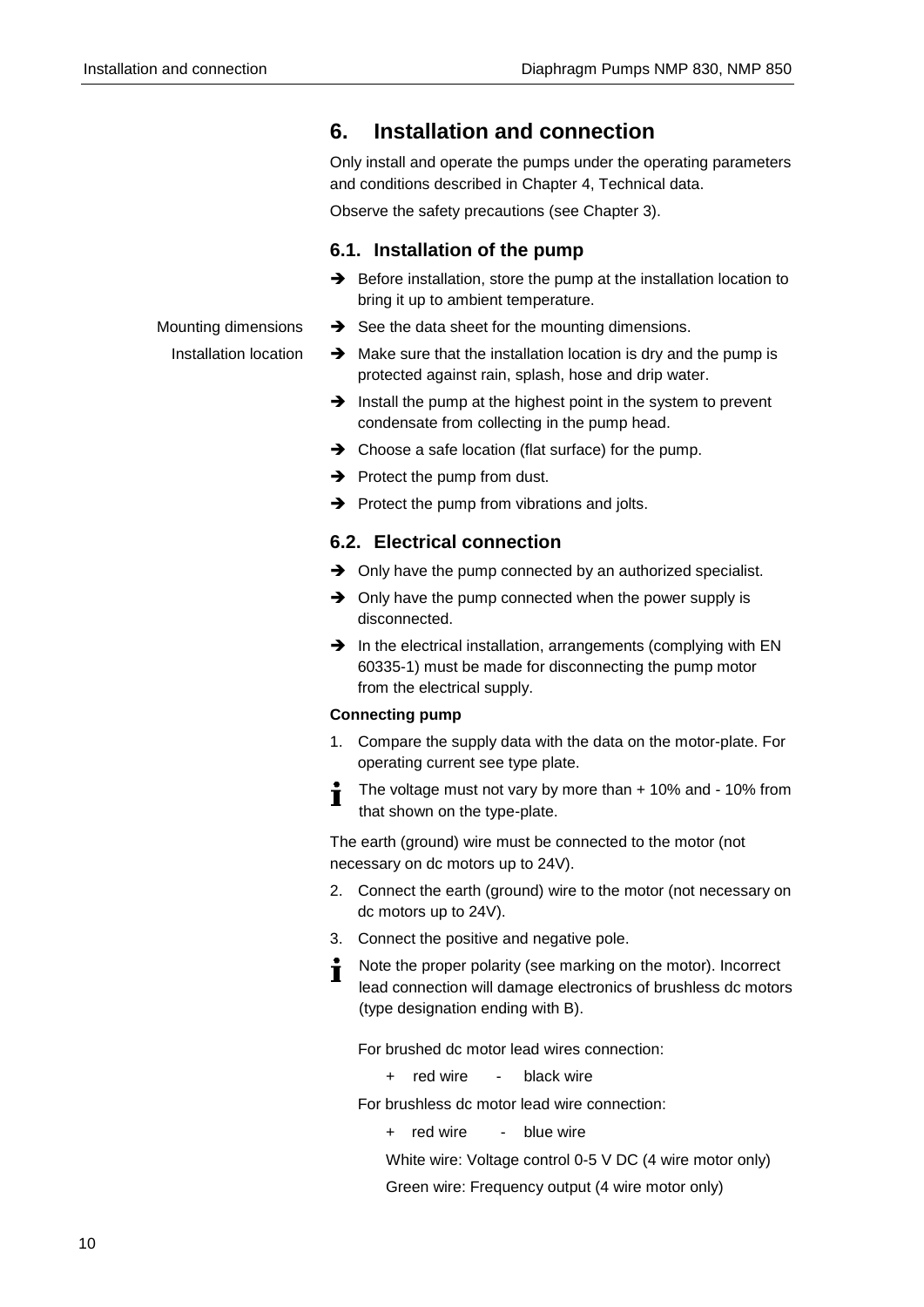## <span id="page-9-0"></span>**6. Installation and connection**

Only install and operate the pumps under the operating parameters and conditions described in Chapter [4,](#page-5-0) Technical data.

Observe the safety precautions (see Chapter 3).

## **6.1. Installation of the pump**

 $\rightarrow$  Before installation, store the pump at the installation location to bring it up to ambient temperature.

### Mounting dimensions

Installation location

- $\rightarrow$  See the data sheet for the mounting dimensions.
- $\rightarrow$  Make sure that the installation location is dry and the pump is protected against rain, splash, hose and drip water.
- $\rightarrow$  Install the pump at the highest point in the system to prevent condensate from collecting in the pump head.
- $\rightarrow$  Choose a safe location (flat surface) for the pump.
- $\rightarrow$  Protect the pump from dust.
- $\rightarrow$  Protect the pump from vibrations and jolts.

## **6.2. Electrical connection**

- $\rightarrow$  Only have the pump connected by an authorized specialist.
- $\rightarrow$  Only have the pump connected when the power supply is disconnected.
- $\rightarrow$  In the electrical installation, arrangements (complying with EN 60335-1) must be made for disconnecting the pump motor from the electrical supply.

### **Connecting pump**

- 1. Compare the supply data with the data on the motor-plate. For operating current see type plate.
- The voltage must not vary by more than + 10% and 10% from Ť that shown on the type-plate.

The earth (ground) wire must be connected to the motor (not necessary on dc motors up to 24V).

- 2. Connect the earth (ground) wire to the motor (not necessary on dc motors up to 24V).
- 3. Connect the positive and negative pole.
- Note the proper polarity (see marking on the motor). Incorrect  $\blacksquare$ lead connection will damage electronics of brushless dc motors (type designation ending with B).

For brushed dc motor lead wires connection:

+ red wire - black wire

For brushless dc motor lead wire connection:

+ red wire - blue wire

White wire: Voltage control 0-5 V DC (4 wire motor only)

Green wire: Frequency output (4 wire motor only)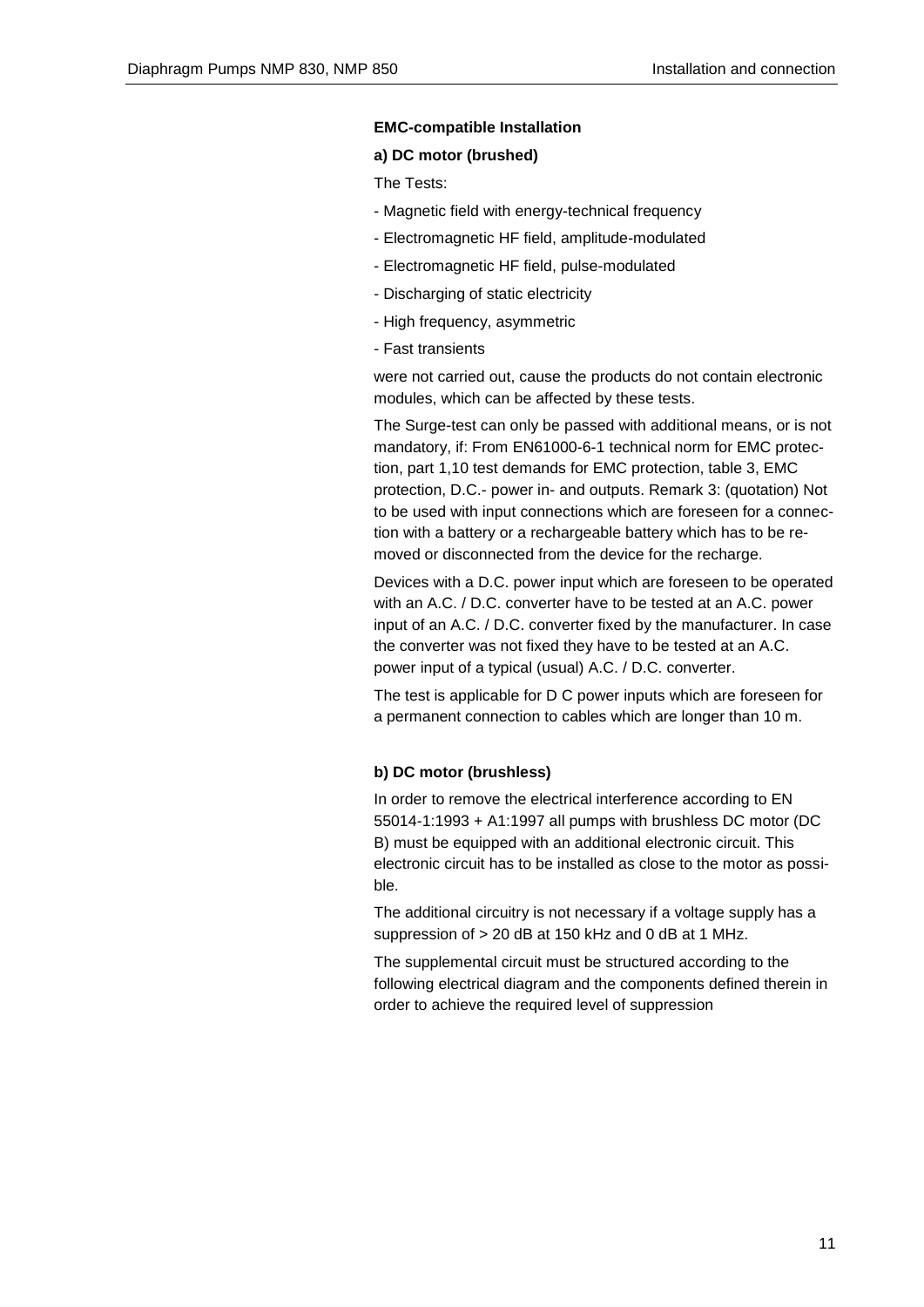### **EMC-compatible Installation**

### **a) DC motor (brushed)**

The Tests:

- Magnetic field with energy-technical frequency
- Electromagnetic HF field, amplitude-modulated
- Electromagnetic HF field, pulse-modulated
- Discharging of static electricity
- High frequency, asymmetric
- Fast transients

were not carried out, cause the products do not contain electronic modules, which can be affected by these tests.

The Surge-test can only be passed with additional means, or is not mandatory, if: From EN61000-6-1 technical norm for EMC protection, part 1,10 test demands for EMC protection, table 3, EMC protection, D.C.- power in- and outputs. Remark 3: (quotation) Not to be used with input connections which are foreseen for a connection with a battery or a rechargeable battery which has to be removed or disconnected from the device for the recharge.

Devices with a D.C. power input which are foreseen to be operated with an A.C. / D.C. converter have to be tested at an A.C. power input of an A.C. / D.C. converter fixed by the manufacturer. In case the converter was not fixed they have to be tested at an A.C. power input of a typical (usual) A.C. / D.C. converter.

The test is applicable for D C power inputs which are foreseen for a permanent connection to cables which are longer than 10 m.

### **b) DC motor (brushless)**

In order to remove the electrical interference according to EN 55014-1:1993 + A1:1997 all pumps with brushless DC motor (DC B) must be equipped with an additional electronic circuit. This electronic circuit has to be installed as close to the motor as possible.

The additional circuitry is not necessary if a voltage supply has a suppression of > 20 dB at 150 kHz and 0 dB at 1 MHz.

The supplemental circuit must be structured according to the following electrical diagram and the components defined therein in order to achieve the required level of suppression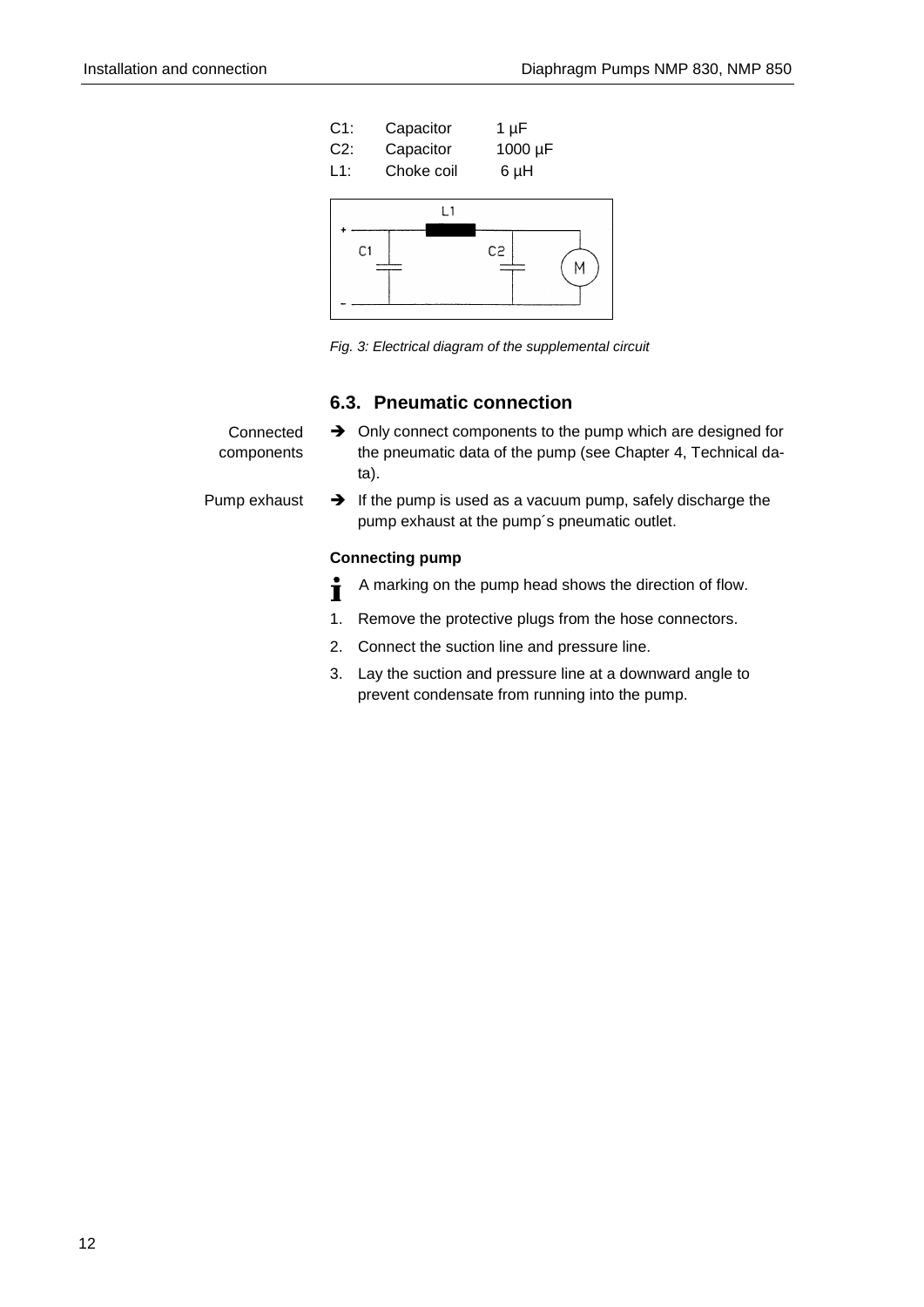

*Fig. 3: Electrical diagram of the supplemental circuit*

## **6.3. Pneumatic connection**

| Connected<br>components | $\rightarrow$ Only connect components to the pump which are designed for<br>the pneumatic data of the pump (see Chapter 4, Technical da-<br>ta). |
|-------------------------|--------------------------------------------------------------------------------------------------------------------------------------------------|
| Pump exhaust            | $\rightarrow$ If the pump is used as a vacuum pump, safely discharge the<br>pump exhaust at the pump's pneumatic outlet.                         |
| <b>Connecting pump</b>  |                                                                                                                                                  |
|                         | A marking on the pump head shows the direction of flow.                                                                                          |

- 1. Remove the protective plugs from the hose connectors.
- 2. Connect the suction line and pressure line.
- 3. Lay the suction and pressure line at a downward angle to prevent condensate from running into the pump.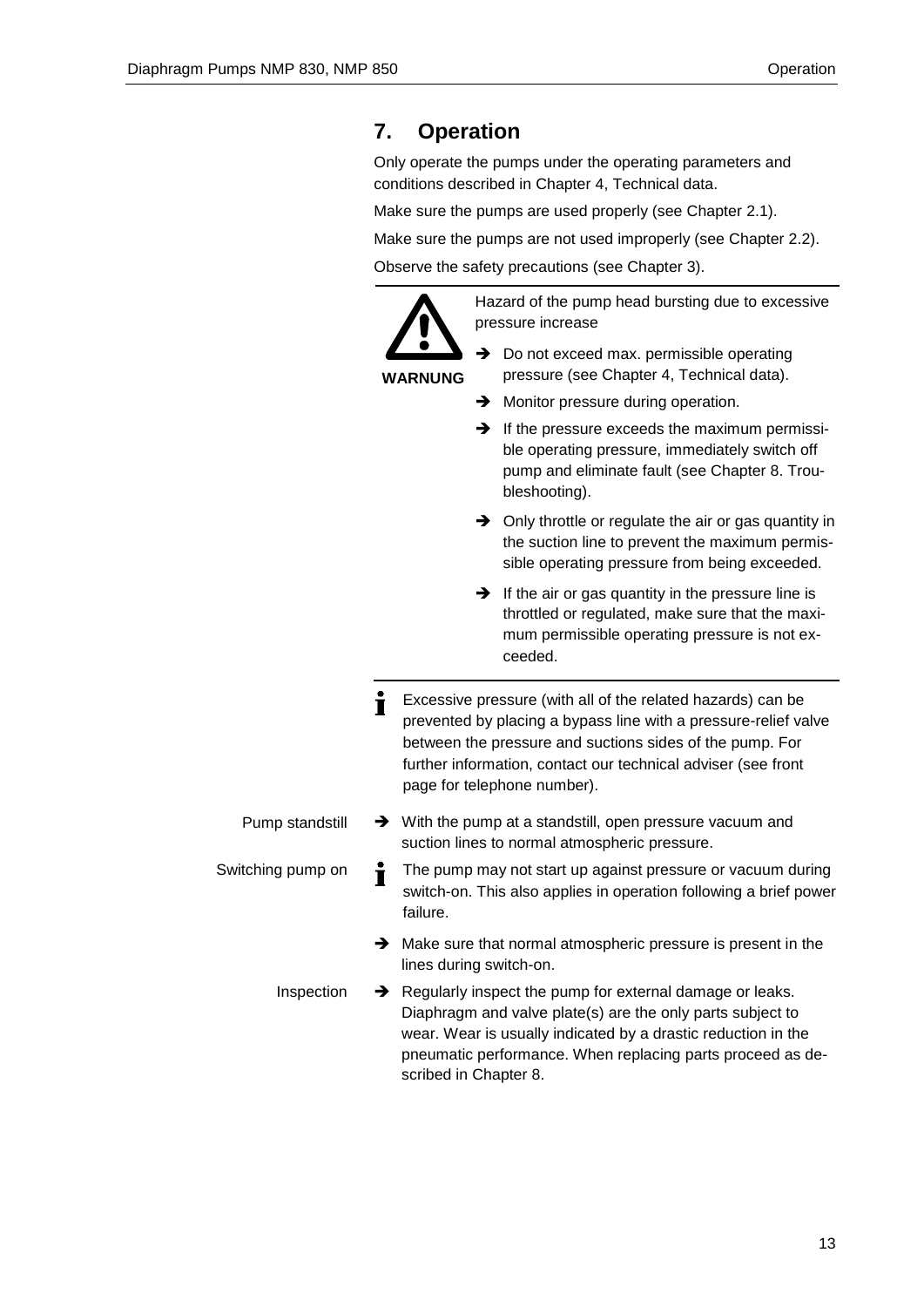## <span id="page-12-0"></span>**7. Operation**

Only operate the pumps under the operating parameters and conditions described in Chapter [4,](#page-5-0) Technical data.

Make sure the pumps are used properly (see Chapter 2.1).

Make sure the pumps are not used improperly (see Chapter 2.2).

Observe the safety precautions (see Chapter 3).

**WARNUNG**

- Hazard of the pump head bursting due to excessive pressure increase
- $\rightarrow$  Do not exceed max. permissible operating pressure (see Chapter 4, Technical data).
- $\rightarrow$  Monitor pressure during operation.
- $\rightarrow$  If the pressure exceeds the maximum permissible operating pressure, immediately switch off pump and eliminate fault (see Chapter 8. Troubleshooting).
- $\rightarrow$  Only throttle or regulate the air or gas quantity in the suction line to prevent the maximum permissible operating pressure from being exceeded.
- $\rightarrow$  If the air or gas quantity in the pressure line is throttled or regulated, make sure that the maximum permissible operating pressure is not exceeded.
- Ť Excessive pressure (with all of the related hazards) can be prevented by placing a bypass line with a pressure-relief valve between the pressure and suctions sides of the pump. For further information, contact our technical adviser (see front page for telephone number).
- $\rightarrow$  With the pump at a standstill, open pressure vacuum and suction lines to normal atmospheric pressure. Pump standstill
- Switching pump on The pump may not start up against pressure or vacuum during Ť switch-on. This also applies in operation following a brief power failure.
	- $\rightarrow$  Make sure that normal atmospheric pressure is present in the lines during switch-on.
	- Regularly inspect the pump for external damage or leaks. Diaphragm and valve plate(s) are the only parts subject to wear. Wear is usually indicated by a drastic reduction in the pneumatic performance. When replacing parts proceed as described in Chapter 8. Inspection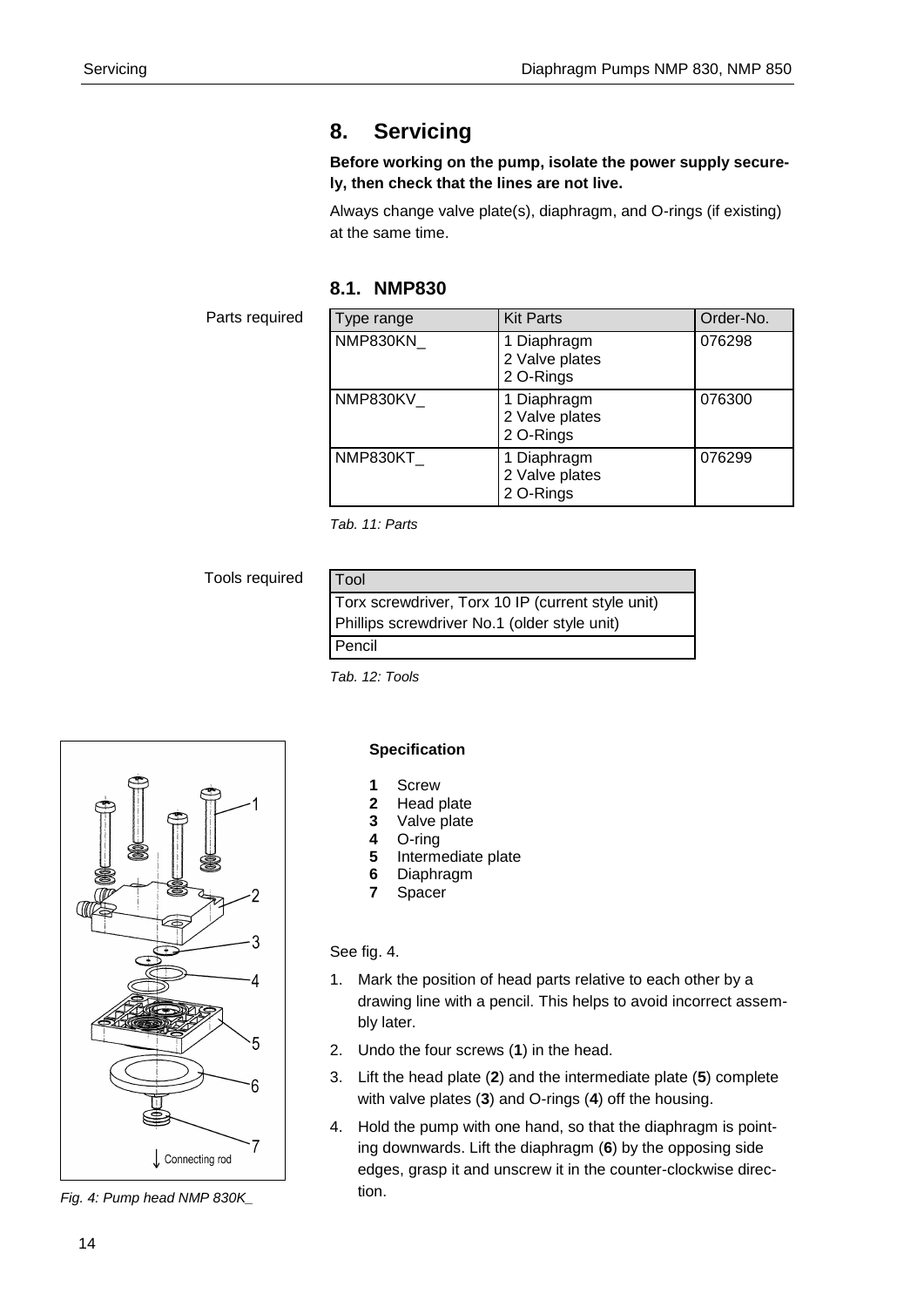## <span id="page-13-0"></span>**8. Servicing**

## **Before working on the pump, isolate the power supply securely, then check that the lines are not live.**

Always change valve plate(s), diaphragm, and O-rings (if existing) at the same time.

## **8.1. NMP830**

Parts required

| Type range | <b>Kit Parts</b>                           | Order-No. |
|------------|--------------------------------------------|-----------|
| NMP830KN   | 1 Diaphragm<br>2 Valve plates<br>2 O-Rings | 076298    |
| NMP830KV   | 1 Diaphragm<br>2 Valve plates<br>2 O-Rings | 076300    |
| NMP830KT   | 1 Diaphragm<br>2 Valve plates<br>2 O-Rings | 076299    |

*Tab. 11: Parts*

Tools required

| Tool                                              |  |
|---------------------------------------------------|--|
| Torx screwdriver, Torx 10 IP (current style unit) |  |
| Phillips screwdriver No.1 (older style unit)      |  |
| Pencil                                            |  |

*Tab. 12: Tools*



*Fig. 4: Pump head NMP 830K\_*

## **Specification**

- **1** Screw
- **2** Head plate
- **3** Valve plate
- **4** O-ring
- **5** Intermediate plate
- **6** Diaphragm
- **7** Spacer

## See fig. 4.

- 1. Mark the position of head parts relative to each other by a drawing line with a pencil. This helps to avoid incorrect assembly later.
- 2. Undo the four screws (**1**) in the head.
- 3. Lift the head plate (**2**) and the intermediate plate (**5**) complete with valve plates (**3**) and O-rings (**4**) off the housing.
- 4. Hold the pump with one hand, so that the diaphragm is pointing downwards. Lift the diaphragm (**6**) by the opposing side edges, grasp it and unscrew it in the counter-clockwise direction.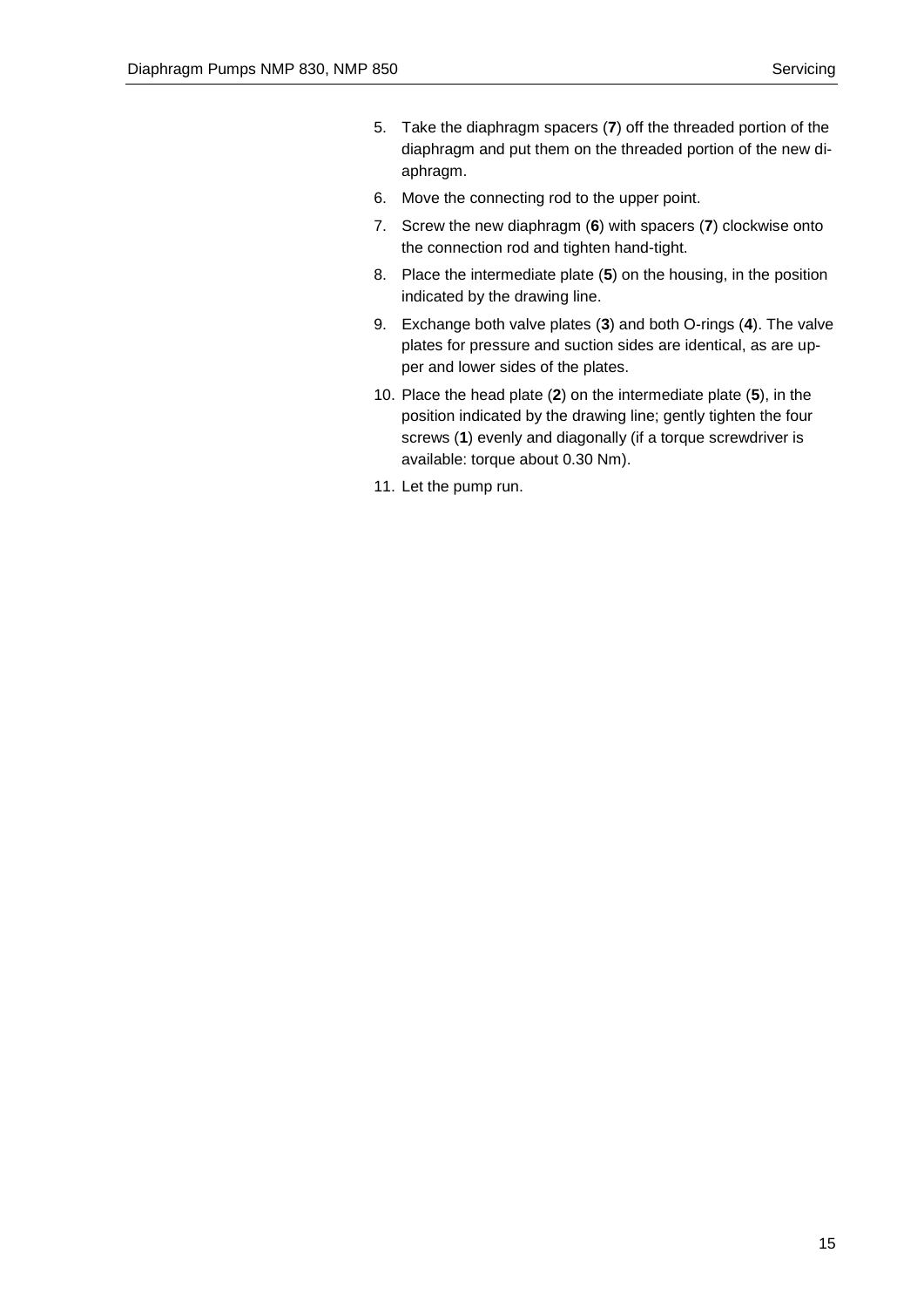- 5. Take the diaphragm spacers (**7**) off the threaded portion of the diaphragm and put them on the threaded portion of the new diaphragm.
- 6. Move the connecting rod to the upper point.
- 7. Screw the new diaphragm (**6**) with spacers (**7**) clockwise onto the connection rod and tighten hand-tight.
- 8. Place the intermediate plate (**5**) on the housing, in the position indicated by the drawing line.
- 9. Exchange both valve plates (**3**) and both O-rings (**4**). The valve plates for pressure and suction sides are identical, as are upper and lower sides of the plates.
- 10. Place the head plate (**2**) on the intermediate plate (**5**), in the position indicated by the drawing line; gently tighten the four screws (**1**) evenly and diagonally (if a torque screwdriver is available: torque about 0.30 Nm).
- 11. Let the pump run.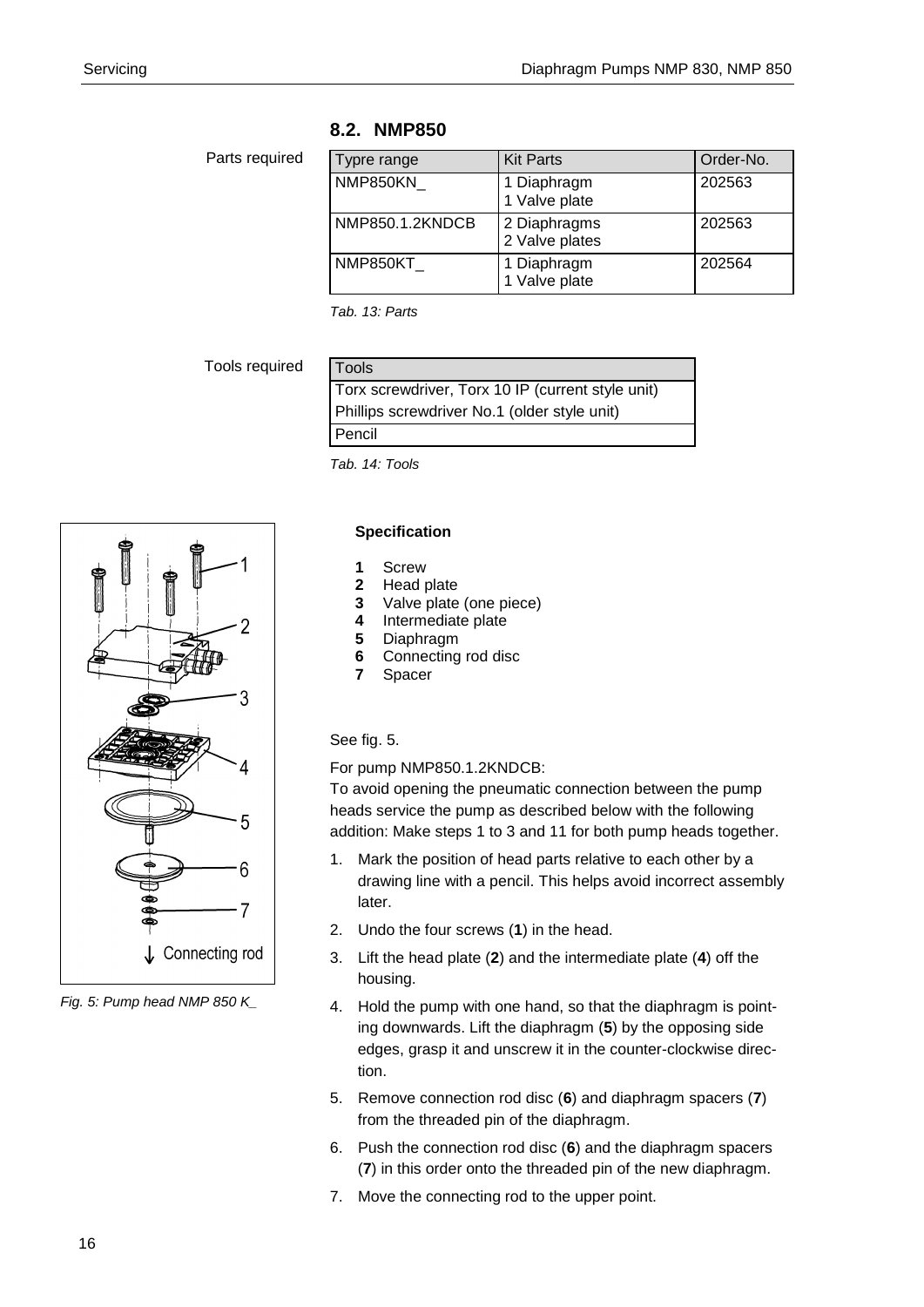## **8.2. NMP850**

## Parts required

| Typre range     | <b>Kit Parts</b>               | Order-No. |
|-----------------|--------------------------------|-----------|
| NMP850KN        | 1 Diaphragm<br>1 Valve plate   | 202563    |
| NMP850.1.2KNDCB | 2 Diaphragms<br>2 Valve plates | 202563    |
| NMP850KT        | 1 Diaphragm<br>1 Valve plate   | 202564    |

*Tab. 13: Parts*

Tools required

| Tools                                             |  |
|---------------------------------------------------|--|
| Torx screwdriver, Torx 10 IP (current style unit) |  |
| Phillips screwdriver No.1 (older style unit)      |  |
| Pencil                                            |  |

*Tab. 14: Tools*



*Fig. 5: Pump head NMP 850 K\_*

## **Specification**

- **1** Screw
- **2** Head plate
- **3** Valve plate (one piece)<br>**4** Intermediate plate
- **4** Intermediate plate
- **5** Diaphragm
- **6** Connecting rod disc
- **7** Spacer

## See fig. 5.

For pump NMP850.1.2KNDCB:

To avoid opening the pneumatic connection between the pump heads service the pump as described below with the following addition: Make steps 1 to 3 and 11 for both pump heads together.

- 1. Mark the position of head parts relative to each other by a drawing line with a pencil. This helps avoid incorrect assembly later.
- 2. Undo the four screws (**1**) in the head.
- 3. Lift the head plate (**2**) and the intermediate plate (**4**) off the housing.
- 4. Hold the pump with one hand, so that the diaphragm is pointing downwards. Lift the diaphragm (**5**) by the opposing side edges, grasp it and unscrew it in the counter-clockwise direction.
- 5. Remove connection rod disc (**6**) and diaphragm spacers (**7**) from the threaded pin of the diaphragm.
- 6. Push the connection rod disc (**6**) and the diaphragm spacers (**7**) in this order onto the threaded pin of the new diaphragm.
- 7. Move the connecting rod to the upper point.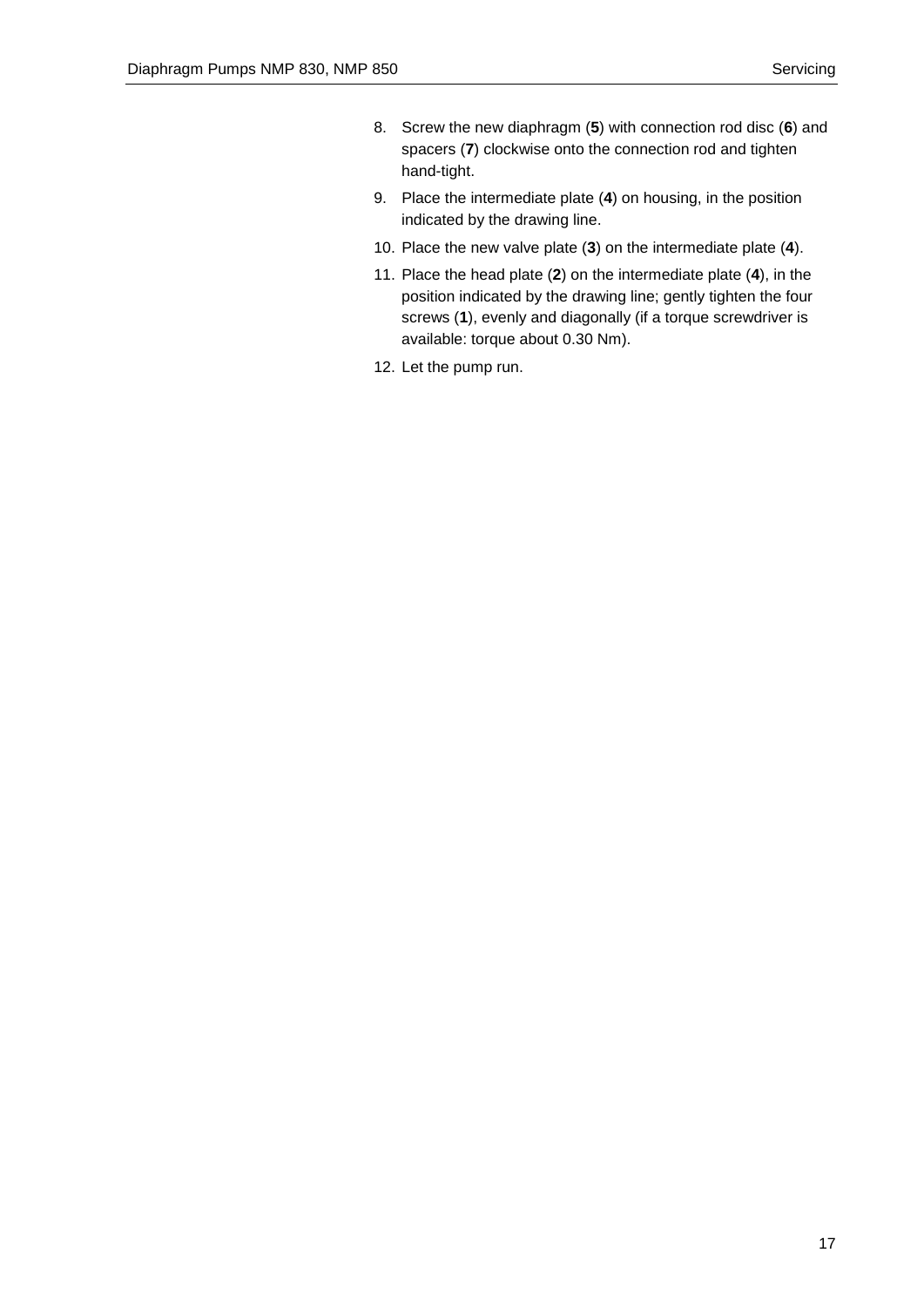- 8. Screw the new diaphragm (**5**) with connection rod disc (**6**) and spacers (**7**) clockwise onto the connection rod and tighten hand-tight.
- 9. Place the intermediate plate (**4**) on housing, in the position indicated by the drawing line.
- 10. Place the new valve plate (**3**) on the intermediate plate (**4**).
- 11. Place the head plate (**2**) on the intermediate plate (**4**), in the position indicated by the drawing line; gently tighten the four screws (**1**), evenly and diagonally (if a torque screwdriver is available: torque about 0.30 Nm).
- 12. Let the pump run.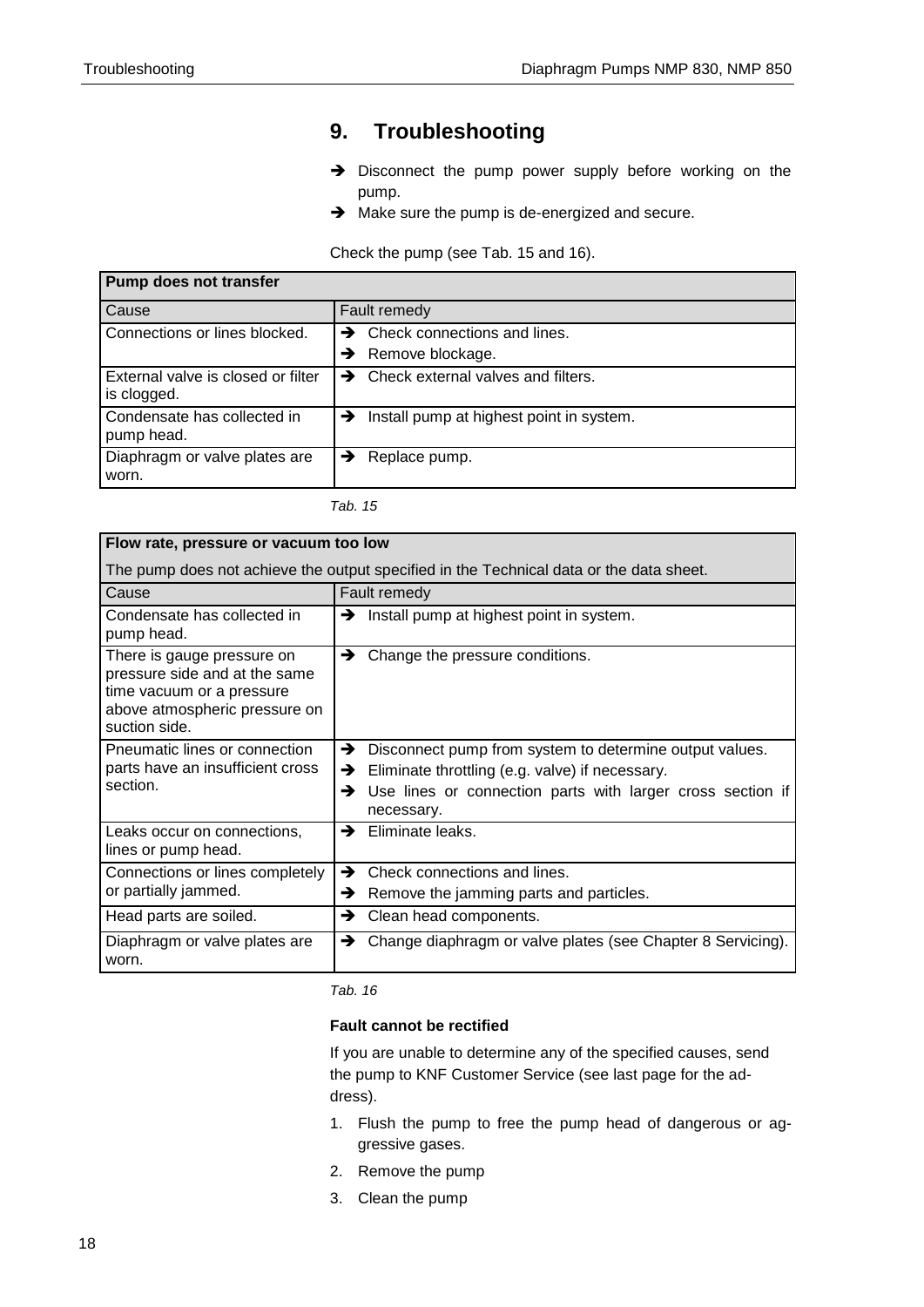## <span id="page-17-0"></span>**9. Troubleshooting**

- $\rightarrow$  Disconnect the pump power supply before working on the pump.
- $\rightarrow$  Make sure the pump is de-energized and secure.

Check the pump (see Tab. 15 and 16).

| <b>Pump does not transfer</b>                     |                                                     |
|---------------------------------------------------|-----------------------------------------------------|
| Cause                                             | Fault remedy                                        |
| Connections or lines blocked.                     | Check connections and lines.<br>$\rightarrow$       |
|                                                   | Remove blockage.<br>→                               |
| External valve is closed or filter<br>is clogged. | Check external valves and filters.<br>$\rightarrow$ |
| Condensate has collected in<br>pump head.         | Install pump at highest point in system.<br>→       |
| Diaphragm or valve plates are<br>worn.            | Replace pump.<br>→                                  |

| н<br>۰, |  |
|---------|--|
|         |  |

| Flow rate, pressure or vacuum too low                                                                                                      |                                                                                                                                                                                                       |  |
|--------------------------------------------------------------------------------------------------------------------------------------------|-------------------------------------------------------------------------------------------------------------------------------------------------------------------------------------------------------|--|
| The pump does not achieve the output specified in the Technical data or the data sheet.                                                    |                                                                                                                                                                                                       |  |
| Cause                                                                                                                                      | Fault remedy                                                                                                                                                                                          |  |
| Condensate has collected in<br>pump head.                                                                                                  | Install pump at highest point in system.<br>→                                                                                                                                                         |  |
| There is gauge pressure on<br>pressure side and at the same<br>time vacuum or a pressure<br>above atmospheric pressure on<br>suction side. | Change the pressure conditions.<br>→                                                                                                                                                                  |  |
| Pneumatic lines or connection<br>parts have an insufficient cross<br>section.                                                              | →<br>Disconnect pump from system to determine output values.<br>Eliminate throttling (e.g. valve) if necessary.<br>→<br>Use lines or connection parts with larger cross section if<br>→<br>necessary. |  |
| Leaks occur on connections,<br>lines or pump head.                                                                                         | Eliminate leaks.<br>→                                                                                                                                                                                 |  |
| Connections or lines completely<br>or partially jammed.                                                                                    | Check connections and lines.<br>→<br>Remove the jamming parts and particles.<br>→                                                                                                                     |  |
| Head parts are soiled.                                                                                                                     | Clean head components.<br>→                                                                                                                                                                           |  |
| Diaphragm or valve plates are<br>worn.                                                                                                     | Change diaphragm or valve plates (see Chapter 8 Servicing).<br>→                                                                                                                                      |  |

*Tab. 16*

## **Fault cannot be rectified**

If you are unable to determine any of the specified causes, send the pump to KNF Customer Service (see last page for the address).

- 1. Flush the pump to free the pump head of dangerous or aggressive gases.
- 2. Remove the pump
- 3. Clean the pump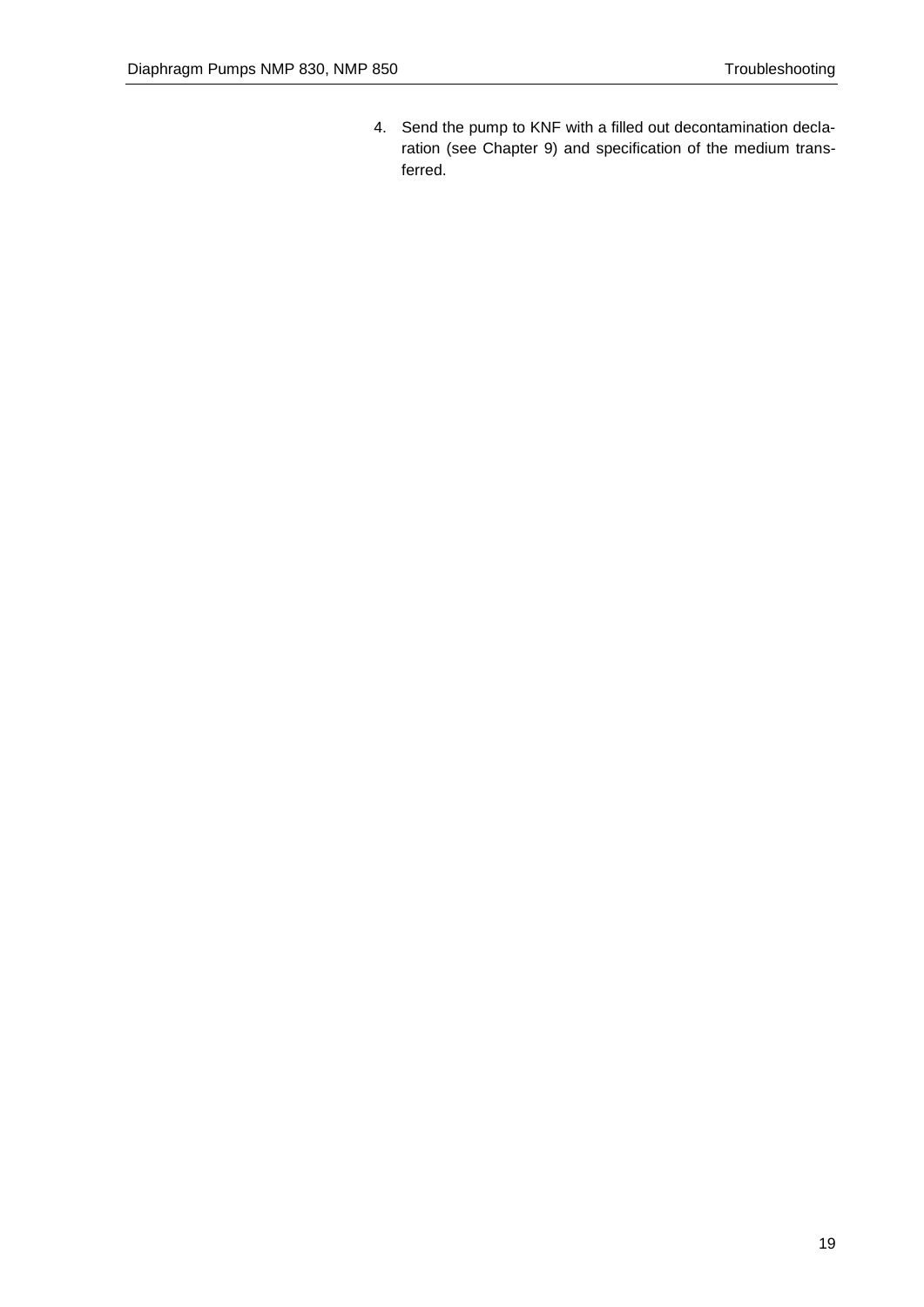4. Send the pump to KNF with a filled out decontamination declaration (see Chapter 9) and specification of the medium transferred.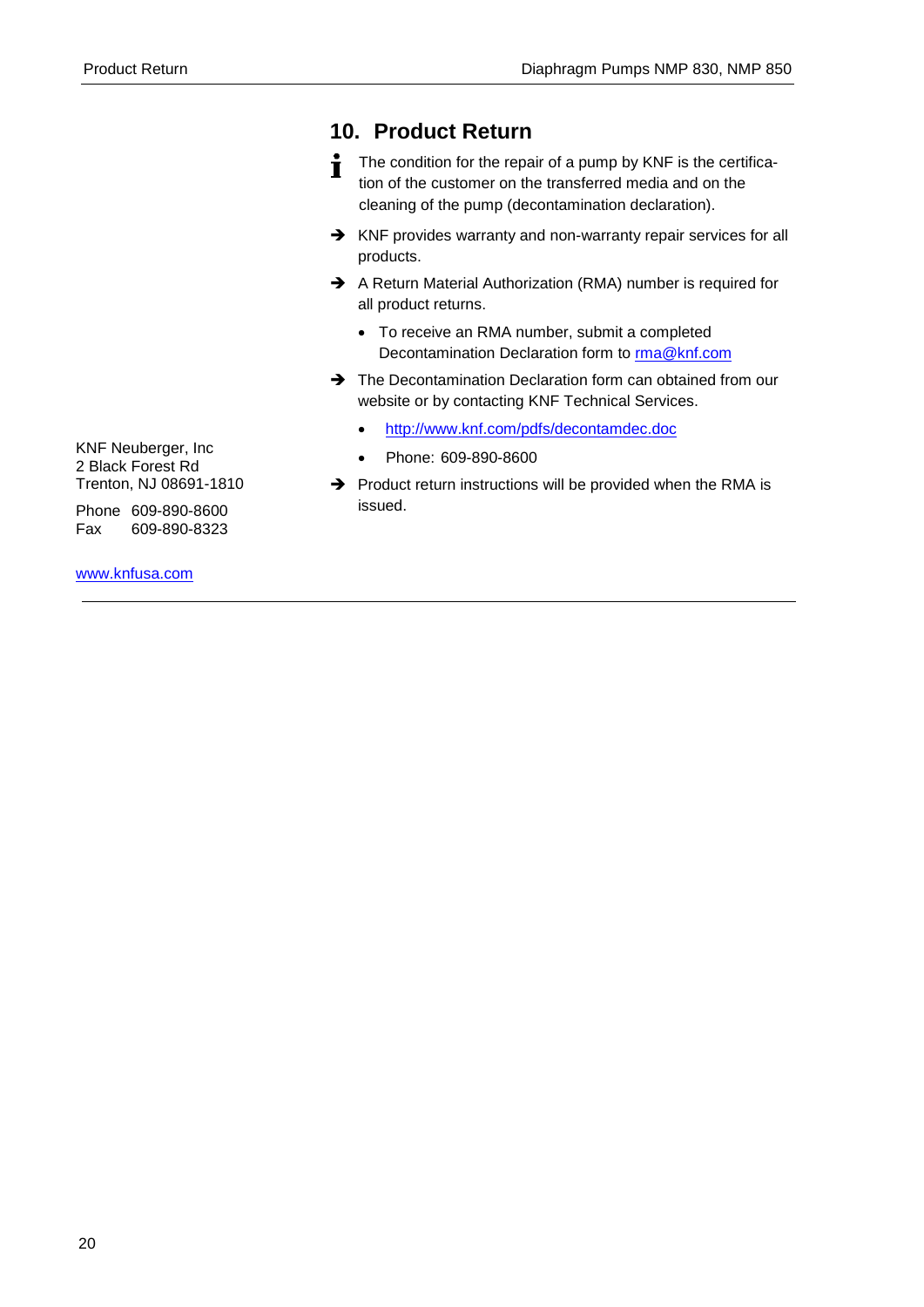## **10. Product Return**

- The condition for the repair of a pump by KNF is the certifica-Ť tion of the customer on the transferred media and on the cleaning of the pump (decontamination declaration).
- → KNF provides warranty and non-warranty repair services for all products.
- A Return Material Authorization (RMA) number is required for all product returns.
	- To receive an RMA number, submit a completed Decontamination Declaration form to [rma@knf.com](mailto:rma@knf.com)
- $\rightarrow$  The Decontamination Declaration form can obtained from our website or by contacting KNF Technical Services.
	- <http://www.knf.com/pdfs/decontamdec.doc>
	- Phone: 609-890-8600
- $\rightarrow$  Product return instructions will be provided when the RMA is issued.

KNF Neuberger, Inc 2 Black Forest Rd Trenton, NJ 08691-1810

Phone 609-890-8600 Fax 609-890-8323

[www.knfusa.com](http://www.knfusa.com/)